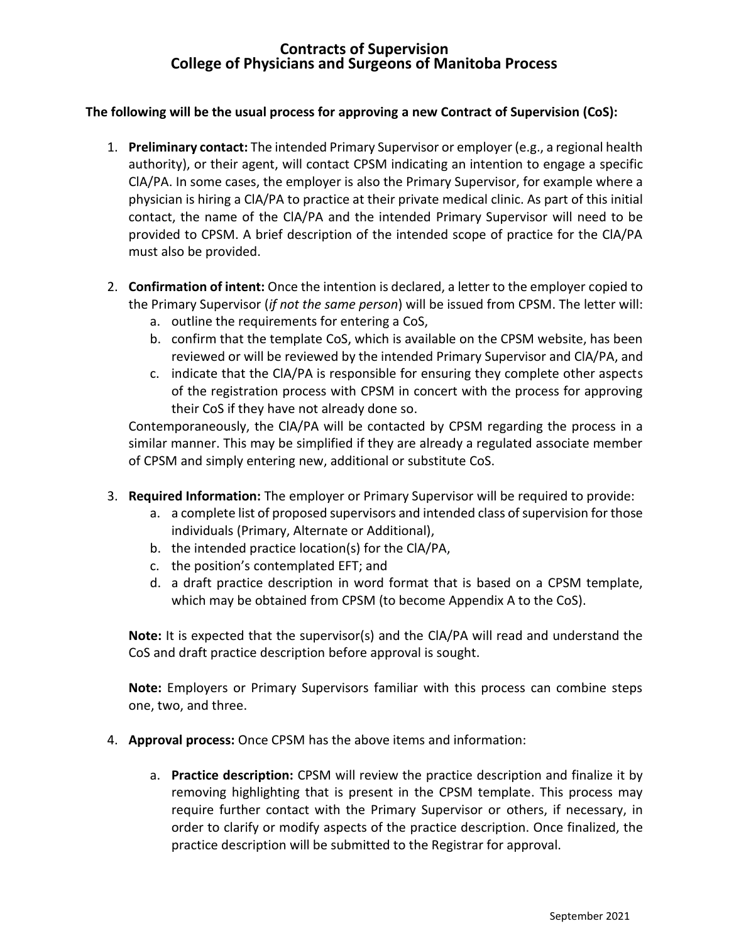## **Contracts of Supervision College of Physicians and Surgeons of Manitoba Process**

## **The following will be the usual process for approving a new Contract of Supervision (CoS):**

- 1. **Preliminary contact:** The intended Primary Supervisor or employer (e.g., a regional health authority), or their agent, will contact CPSM indicating an intention to engage a specific ClA/PA. In some cases, the employer is also the Primary Supervisor, for example where a physician is hiring a ClA/PA to practice at their private medical clinic. As part of this initial contact, the name of the ClA/PA and the intended Primary Supervisor will need to be provided to CPSM. A brief description of the intended scope of practice for the ClA/PA must also be provided.
- 2. **Confirmation of intent:** Once the intention is declared, a letter to the employer copied to the Primary Supervisor (*if not the same person*) will be issued from CPSM. The letter will:
	- a. outline the requirements for entering a CoS,
	- b. confirm that the template CoS, which is available on the CPSM website, has been reviewed or will be reviewed by the intended Primary Supervisor and ClA/PA, and
	- c. indicate that the ClA/PA is responsible for ensuring they complete other aspects of the registration process with CPSM in concert with the process for approving their CoS if they have not already done so.

Contemporaneously, the ClA/PA will be contacted by CPSM regarding the process in a similar manner. This may be simplified if they are already a regulated associate member of CPSM and simply entering new, additional or substitute CoS.

- 3. **Required Information:** The employer or Primary Supervisor will be required to provide:
	- a. a complete list of proposed supervisors and intended class of supervision for those individuals (Primary, Alternate or Additional),
	- b. the intended practice location(s) for the ClA/PA,
	- c. the position's contemplated EFT; and
	- d. a draft practice description in word format that is based on a CPSM template, which may be obtained from CPSM (to become Appendix A to the CoS).

**Note:** It is expected that the supervisor(s) and the ClA/PA will read and understand the CoS and draft practice description before approval is sought.

**Note:** Employers or Primary Supervisors familiar with this process can combine steps one, two, and three.

- 4. **Approval process:** Once CPSM has the above items and information:
	- a. **Practice description:** CPSM will review the practice description and finalize it by removing highlighting that is present in the CPSM template. This process may require further contact with the Primary Supervisor or others, if necessary, in order to clarify or modify aspects of the practice description. Once finalized, the practice description will be submitted to the Registrar for approval.